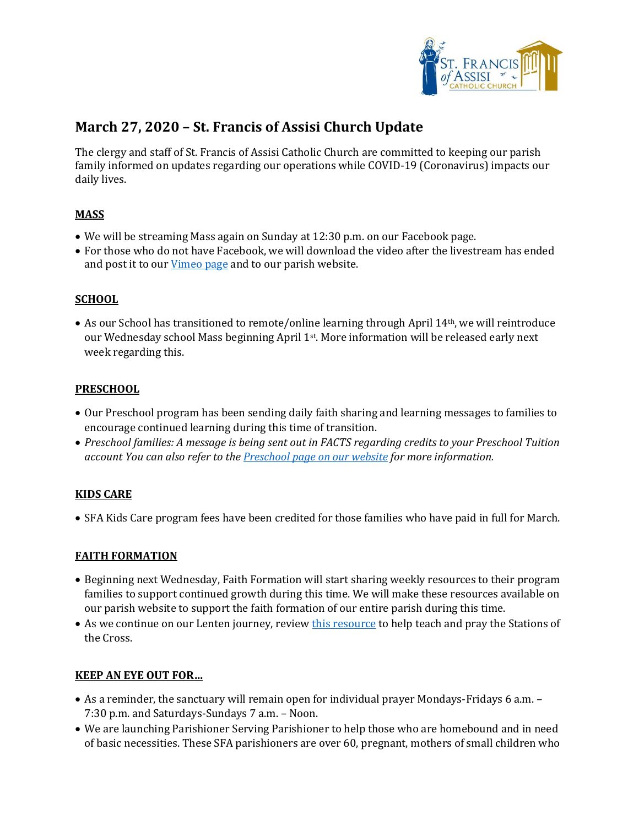

# **March 27, 2020 – St. Francis of Assisi Church Update**

The clergy and staff of St. Francis of Assisi Catholic Church are committed to keeping our parish family informed on updates regarding our operations while COVID-19 (Coronavirus) impacts our daily lives.

## **MASS**

- We will be streaming Mass again on Sunday at 12:30 p.m. on our Facebook page.
- For those who do not have Facebook, we will download the video after the livestream has ended and post it to our [Vimeo page](https://vimeo.com/stfrancisvideo) and to our parish website.

#### **SCHOOL**

 As our School has transitioned to remote/online learning through April 14th, we will reintroduce our Wednesday school Mass beginning April 1st. More information will be released early next week regarding this.

#### **PRESCHOOL**

- Our Preschool program has been sending daily faith sharing and learning messages to families to encourage continued learning during this time of transition.
- *Preschool families: A message is being sent out in FACTS regarding credits to your Preschool Tuition account You can also refer to the [Preschool page on our website](https://saintfrancischurch.org/engage/programs-by-age/parents-with-small-children/st-francis-preschool/) for more information.*

#### **KIDS CARE**

SFA Kids Care program fees have been credited for those families who have paid in full for March.

#### **FAITH FORMATION**

- Beginning next Wednesday, Faith Formation will start sharing weekly resources to their program families to support continued growth during this time. We will make these resources available on our parish website to support the faith formation of our entire parish during this time.
- As we continue on our Lenten journey, review [this resource](file://///stfrancisfp/parish/users/KEvans/Ministries,%20Programs%20&%20Events/Youth%20Faith%20Formation/Stations%20of%20the%20Cross%20Resources.pdf) to help teach and pray the Stations of the Cross.

#### **KEEP AN EYE OUT FOR…**

- As a reminder, the sanctuary will remain open for individual prayer Mondays-Fridays 6 a.m. 7:30 p.m. and Saturdays-Sundays 7 a.m. – Noon.
- We are launching Parishioner Serving Parishioner to help those who are homebound and in need of basic necessities. These SFA parishioners are over 60, pregnant, mothers of small children who